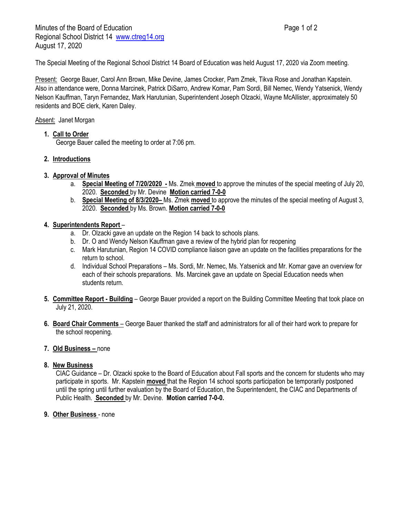The Special Meeting of the Regional School District 14 Board of Education was held August 17, 2020 via Zoom meeting.

Present: George Bauer, Carol Ann Brown, Mike Devine, James Crocker, Pam Zmek, Tikva Rose and Jonathan Kapstein. Also in attendance were, Donna Marcinek, Patrick DiSarro, Andrew Komar, Pam Sordi, Bill Nemec, Wendy Yatsenick, Wendy Nelson Kauffman, Taryn Fernandez, Mark Harutunian, Superintendent Joseph Olzacki, Wayne McAllister, approximately 50 residents and BOE clerk, Karen Daley.

## Absent: Janet Morgan

**1. Call to Order**

George Bauer called the meeting to order at 7:06 pm.

**2. Introductions**

### **3. Approval of Minutes**

- a. **Special Meeting of 7/20/2020 -** Ms. Zmek **moved** to approve the minutes of the special meeting of July 20, 2020. **Seconded** by Mr. Devine **Motion carried 7-0-0**
- b. **Special Meeting of 8/3/2020–** Ms. Zmek **moved** to approve the minutes of the special meeting of August 3, 2020. **Seconded** by Ms. Brown. **Motion carried 7-0-0**

## **4. Superintendents Report** –

- a. Dr. Olzacki gave an update on the Region 14 back to schools plans.
- b. Dr. O and Wendy Nelson Kauffman gave a review of the hybrid plan for reopening
- c. Mark Harutunian, Region 14 COVID compliance liaison gave an update on the facilities preparations for the return to school.
- d. Individual School Preparations Ms. Sordi, Mr. Nemec, Ms. Yatsenick and Mr. Komar gave an overview for each of their schools preparations. Ms. Marcinek gave an update on Special Education needs when students return.
- **5. Committee Report - Building** George Bauer provided a report on the Building Committee Meeting that took place on July 21, 2020.
- **6. Board Chair Comments** George Bauer thanked the staff and administrators for all of their hard work to prepare for the school reopening.

#### **7. Old Business –** none

#### **8. New Business**

CIAC Guidance – Dr. Olzacki spoke to the Board of Education about Fall sports and the concern for students who may participate in sports. Mr. Kapstein **moved** that the Region 14 school sports participation be temporarily postponed until the spring until further evaluation by the Board of Education, the Superintendent, the CIAC and Departments of Public Health. **Seconded** by Mr. Devine. **Motion carried 7-0-0.**

**9. Other Business** - none